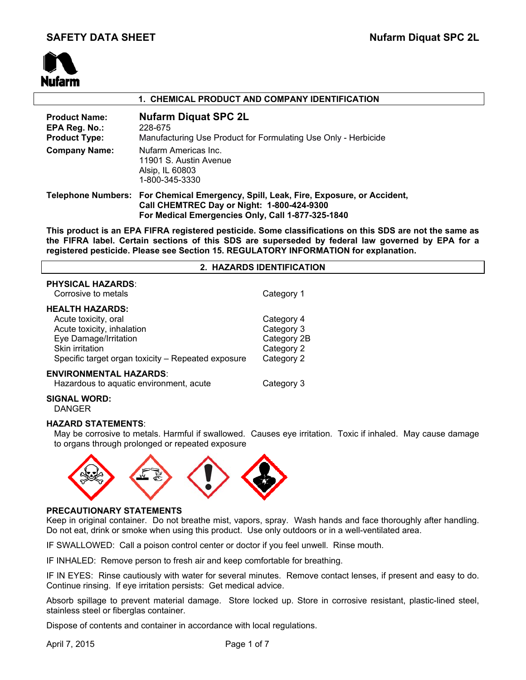# **SAFETY DATA SHEET** Nufarm Diquat SPC 2L



# **1. CHEMICAL PRODUCT AND COMPANY IDENTIFICATION Product Name: Nufarm Diquat SPC 2L EPA Reg. No.:** 228-675 **Product Type:** Manufacturing Use Product for Formulating Use Only - Herbicide **Company Name:** Nufarm Americas Inc. 11901 S. Austin Avenue Alsip, IL 60803 1-800-345-3330 **Telephone Numbers: For Chemical Emergency, Spill, Leak, Fire, Exposure, or Accident, Call CHEMTREC Day or Night: 1-800-424-9300 For Medical Emergencies Only, Call 1-877-325-1840**

**This product is an EPA FIFRA registered pesticide. Some classifications on this SDS are not the same as the FIFRA label. Certain sections of this SDS are superseded by federal law governed by EPA for a registered pesticide. Please see Section 15. REGULATORY INFORMATION for explanation.**

| 2. HAZARDS IDENTIFICATION                          |             |  |  |
|----------------------------------------------------|-------------|--|--|
| <b>PHYSICAL HAZARDS:</b><br>Corrosive to metals    | Category 1  |  |  |
| <b>HEALTH HAZARDS:</b>                             |             |  |  |
| Acute toxicity, oral                               | Category 4  |  |  |
| Acute toxicity, inhalation                         | Category 3  |  |  |
| Eye Damage/Irritation                              | Category 2B |  |  |
| Skin irritation                                    | Category 2  |  |  |
| Specific target organ toxicity – Repeated exposure | Category 2  |  |  |
| <b>ENVIRONMENTAL HAZARDS:</b>                      |             |  |  |
| Hazardous to aquatic environment, acute            | Category 3  |  |  |
| CIONAL INODD.                                      |             |  |  |

# **SIGNAL WORD:**

DANGER

# **HAZARD STATEMENTS**:

May be corrosive to metals. Harmful if swallowed. Causes eye irritation. Toxic if inhaled. May cause damage to organs through prolonged or repeated exposure



# **PRECAUTIONARY STATEMENTS**

Keep in original container. Do not breathe mist, vapors, spray. Wash hands and face thoroughly after handling. Do not eat, drink or smoke when using this product. Use only outdoors or in a well-ventilated area.

IF SWALLOWED: Call a poison control center or doctor if you feel unwell. Rinse mouth.

IF INHALED: Remove person to fresh air and keep comfortable for breathing.

IF IN EYES: Rinse cautiously with water for several minutes. Remove contact lenses, if present and easy to do. Continue rinsing. If eye irritation persists: Get medical advice.

Absorb spillage to prevent material damage. Store locked up. Store in corrosive resistant, plastic-lined steel, stainless steel or fiberglas container.

Dispose of contents and container in accordance with local regulations.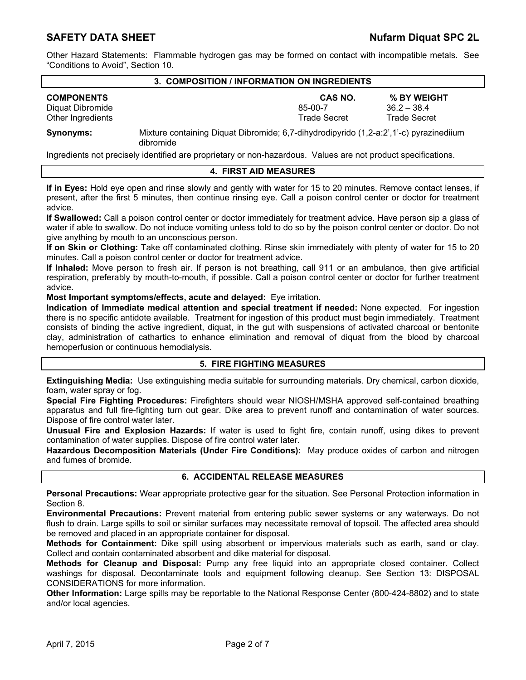Other Hazard Statements: Flammable hydrogen gas may be formed on contact with incompatible metals. See "Conditions to Avoid", Section 10.

#### **3. COMPOSITION / INFORMATION ON INGREDIENTS**

| <b>COMPONENTS</b> | <b>CAS NO.</b>                                                                         | % BY WEIGHT         |
|-------------------|----------------------------------------------------------------------------------------|---------------------|
| Diquat Dibromide  | 85-00-7                                                                                | $36.2 - 38.4$       |
| Other Ingredients | Trade Secret                                                                           | <b>Trade Secret</b> |
| Synonyms:         | Mixture containing Diguat Dibromide: 6.7-dibydrodinyrido (1.2-a:2' 1'-c) nyrazinedijum |                     |

**Synonyms:** Mixture containing Diquat Dibromide; 6,7-dihydrodipyrido (1,2-a:2',1'-c) pyrazinediium dibromide

Ingredients not precisely identified are proprietary or non-hazardous. Values are not product specifications.

#### **4. FIRST AID MEASURES**

**If in Eyes:** Hold eye open and rinse slowly and gently with water for 15 to 20 minutes. Remove contact lenses, if present, after the first 5 minutes, then continue rinsing eye. Call a poison control center or doctor for treatment advice.

**If Swallowed:** Call a poison control center or doctor immediately for treatment advice. Have person sip a glass of water if able to swallow. Do not induce vomiting unless told to do so by the poison control center or doctor. Do not give anything by mouth to an unconscious person.

**If on Skin or Clothing:** Take off contaminated clothing. Rinse skin immediately with plenty of water for 15 to 20 minutes. Call a poison control center or doctor for treatment advice.

**If Inhaled:** Move person to fresh air. If person is not breathing, call 911 or an ambulance, then give artificial respiration, preferably by mouth-to-mouth, if possible. Call a poison control center or doctor for further treatment advice.

**Most Important symptoms/effects, acute and delayed:** Eye irritation.

**Indication of Immediate medical attention and special treatment if needed:** None expected. For ingestion there is no specific antidote available. Treatment for ingestion of this product must begin immediately. Treatment consists of binding the active ingredient, diquat, in the gut with suspensions of activated charcoal or bentonite clay, administration of cathartics to enhance elimination and removal of diquat from the blood by charcoal hemoperfusion or continuous hemodialysis.

# **5. FIRE FIGHTING MEASURES**

**Extinguishing Media:** Use extinguishing media suitable for surrounding materials. Dry chemical, carbon dioxide, foam, water spray or fog.

**Special Fire Fighting Procedures:** Firefighters should wear NIOSH/MSHA approved self-contained breathing apparatus and full fire-fighting turn out gear. Dike area to prevent runoff and contamination of water sources. Dispose of fire control water later.

**Unusual Fire and Explosion Hazards:** If water is used to fight fire, contain runoff, using dikes to prevent contamination of water supplies. Dispose of fire control water later.

**Hazardous Decomposition Materials (Under Fire Conditions):** May produce oxides of carbon and nitrogen and fumes of bromide.

#### **6. ACCIDENTAL RELEASE MEASURES**

**Personal Precautions:** Wear appropriate protective gear for the situation. See Personal Protection information in Section 8.

**Environmental Precautions:** Prevent material from entering public sewer systems or any waterways. Do not flush to drain. Large spills to soil or similar surfaces may necessitate removal of topsoil. The affected area should be removed and placed in an appropriate container for disposal.

**Methods for Containment:** Dike spill using absorbent or impervious materials such as earth, sand or clay. Collect and contain contaminated absorbent and dike material for disposal.

**Methods for Cleanup and Disposal:** Pump any free liquid into an appropriate closed container. Collect washings for disposal. Decontaminate tools and equipment following cleanup. See Section 13: DISPOSAL CONSIDERATIONS for more information.

**Other Information:** Large spills may be reportable to the National Response Center (800-424-8802) and to state and/or local agencies.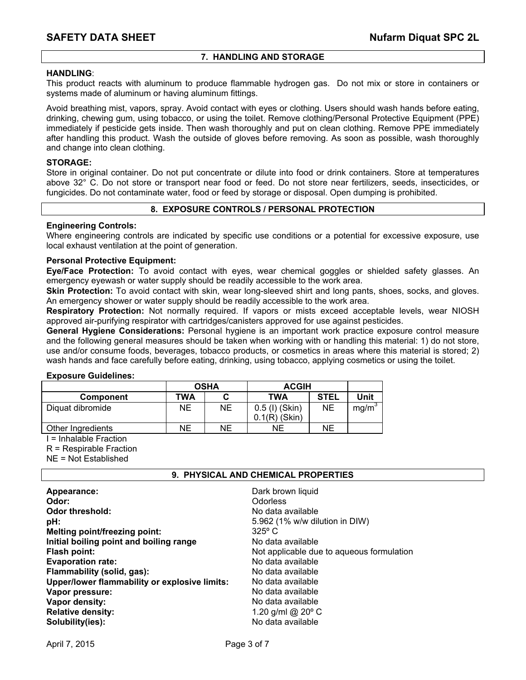# **7. HANDLING AND STORAGE**

# **HANDLING**:

This product reacts with aluminum to produce flammable hydrogen gas. Do not mix or store in containers or systems made of aluminum or having aluminum fittings.

Avoid breathing mist, vapors, spray. Avoid contact with eyes or clothing. Users should wash hands before eating, drinking, chewing gum, using tobacco, or using the toilet. Remove clothing/Personal Protective Equipment (PPE) immediately if pesticide gets inside. Then wash thoroughly and put on clean clothing. Remove PPE immediately after handling this product. Wash the outside of gloves before removing. As soon as possible, wash thoroughly and change into clean clothing.

### **STORAGE:**

Store in original container. Do not put concentrate or dilute into food or drink containers. Store at temperatures above 32° C. Do not store or transport near food or feed. Do not store near fertilizers, seeds, insecticides, or fungicides. Do not contaminate water, food or feed by storage or disposal. Open dumping is prohibited.

# **8. EXPOSURE CONTROLS / PERSONAL PROTECTION**

# **Engineering Controls:**

Where engineering controls are indicated by specific use conditions or a potential for excessive exposure, use local exhaust ventilation at the point of generation.

# **Personal Protective Equipment:**

**Eye/Face Protection:** To avoid contact with eyes, wear chemical goggles or shielded safety glasses. An emergency eyewash or water supply should be readily accessible to the work area.

**Skin Protection:** To avoid contact with skin, wear long-sleeved shirt and long pants, shoes, socks, and gloves. An emergency shower or water supply should be readily accessible to the work area.

**Respiratory Protection:** Not normally required. If vapors or mists exceed acceptable levels, wear NIOSH approved air-purifying respirator with cartridges/canisters approved for use against pesticides.

**General Hygiene Considerations:** Personal hygiene is an important work practice exposure control measure and the following general measures should be taken when working with or handling this material: 1) do not store, use and/or consume foods, beverages, tobacco products, or cosmetics in areas where this material is stored; 2) wash hands and face carefully before eating, drinking, using tobacco, applying cosmetics or using the toilet.

#### **Exposure Guidelines:**

|                   | <b>OSHA</b> |    | <b>ACGIH</b>                     |             |                   |
|-------------------|-------------|----|----------------------------------|-------------|-------------------|
| <b>Component</b>  | TWA         |    | TWA                              | <b>STEL</b> | Unit              |
| Diquat dibromide  | NΕ          | NE | 0.5 (I) (Skin)<br>$.1(R)$ (Skin) | ΝE          | mg/m <sup>3</sup> |
| Other Ingredients | NΕ          | NE | ΝE                               | NE          |                   |

I = Inhalable Fraction

R = Respirable Fraction

NE = Not Established

#### **9. PHYSICAL AND CHEMICAL PROPERTIES**

| Appearance:                                   | Dark brown liquid                         |
|-----------------------------------------------|-------------------------------------------|
| Odor:                                         | Odorless                                  |
| <b>Odor threshold:</b>                        | No data available                         |
| pH:                                           | 5.962 (1% w/w dilution in DIW)            |
| <b>Melting point/freezing point:</b>          | $325^\circ$ C                             |
| Initial boiling point and boiling range       | No data available                         |
| Flash point:                                  | Not applicable due to aqueous formulation |
| <b>Evaporation rate:</b>                      | No data available                         |
| Flammability (solid, gas):                    | No data available                         |
| Upper/lower flammability or explosive limits: | No data available                         |
| Vapor pressure:                               | No data available                         |
| Vapor density:                                | No data available                         |
| <b>Relative density:</b>                      | 1.20 g/ml @ $20^{\circ}$ C                |
| Solubility(ies):                              | No data available                         |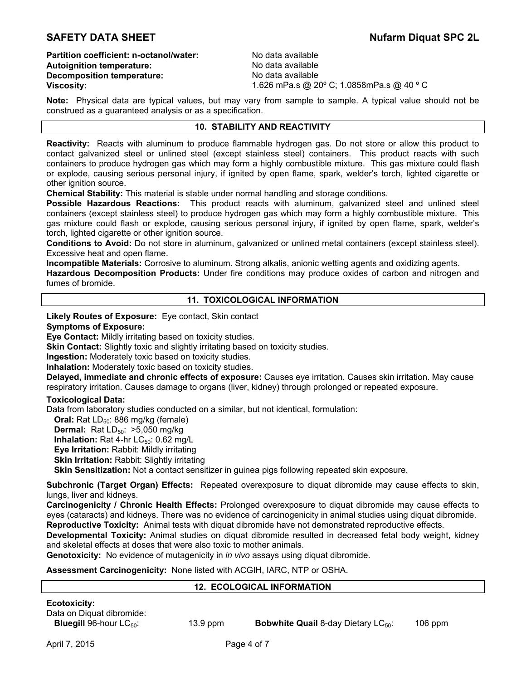# **SAFETY DATA SHEET** Nufarm Diquat SPC 2L

**Partition coefficient: n-octanol/water:** No data available **Autoignition temperature:** No data available **Decomposition temperature:** No data available

**Viscosity:** 1.626 mPa.s @ 20º C; 1.0858mPa.s @ 40 º C

**Note:** Physical data are typical values, but may vary from sample to sample. A typical value should not be construed as a guaranteed analysis or as a specification.

# **10. STABILITY AND REACTIVITY**

**Reactivity:** Reacts with aluminum to produce flammable hydrogen gas. Do not store or allow this product to contact galvanized steel or unlined steel (except stainless steel) containers. This product reacts with such containers to produce hydrogen gas which may form a highly combustible mixture. This gas mixture could flash or explode, causing serious personal injury, if ignited by open flame, spark, welder's torch, lighted cigarette or other ignition source.

**Chemical Stability:** This material is stable under normal handling and storage conditions.

**Possible Hazardous Reactions:** This product reacts with aluminum, galvanized steel and unlined steel containers (except stainless steel) to produce hydrogen gas which may form a highly combustible mixture. This gas mixture could flash or explode, causing serious personal injury, if ignited by open flame, spark, welder's torch, lighted cigarette or other ignition source.

**Conditions to Avoid:** Do not store in aluminum, galvanized or unlined metal containers (except stainless steel). Excessive heat and open flame.

**Incompatible Materials:** Corrosive to aluminum. Strong alkalis, anionic wetting agents and oxidizing agents.

**Hazardous Decomposition Products:** Under fire conditions may produce oxides of carbon and nitrogen and fumes of bromide.

## **11. TOXICOLOGICAL INFORMATION**

**Likely Routes of Exposure:** Eye contact, Skin contact

# **Symptoms of Exposure:**

**Eye Contact:** Mildly irritating based on toxicity studies.

**Skin Contact:** Slightly toxic and slightly irritating based on toxicity studies.

**Ingestion:** Moderately toxic based on toxicity studies.

#### **Inhalation:** Moderately toxic based on toxicity studies.

**Delayed, immediate and chronic effects of exposure:** Causes eye irritation. Causes skin irritation. May cause respiratory irritation. Causes damage to organs (liver, kidney) through prolonged or repeated exposure.

#### **Toxicological Data:**

Data from laboratory studies conducted on a similar, but not identical, formulation:

**Oral:** Rat LD<sub>50</sub>: 886 mg/kg (female)

**Dermal:** Rat LD<sub>50</sub>: >5,050 mg/kg

**Inhalation:** Rat 4-hr LC<sub>50</sub>: 0.62 mg/L

**Eye Irritation:** Rabbit: Mildly irritating

**Skin Irritation: Rabbit: Slightly irritating** 

**Skin Sensitization:** Not a contact sensitizer in guinea pigs following repeated skin exposure.

**Subchronic (Target Organ) Effects:** Repeated overexposure to diquat dibromide may cause effects to skin, lungs, liver and kidneys.

**Carcinogenicity / Chronic Health Effects:** Prolonged overexposure to diquat dibromide may cause effects to eyes (cataracts) and kidneys. There was no evidence of carcinogenicity in animal studies using diquat dibromide. **Reproductive Toxicity:** Animal tests with diquat dibromide have not demonstrated reproductive effects.

**Developmental Toxicity:** Animal studies on diquat dibromide resulted in decreased fetal body weight, kidney and skeletal effects at doses that were also toxic to mother animals.

**Genotoxicity:** No evidence of mutagenicity in *in vivo* assays using diquat dibromide.

**Assessment Carcinogenicity:** None listed with ACGIH, IARC, NTP or OSHA.

#### **12. ECOLOGICAL INFORMATION**

| <b>Ecotoxicity:</b>                 |
|-------------------------------------|
| Data on Diquat dibromide:           |
| <b>Bluegill</b> 96-hour $LC_{50}$ : |

13.9 ppm **Bobwhite Quail** 8-day Dietary LC<sub>50</sub>: 106 ppm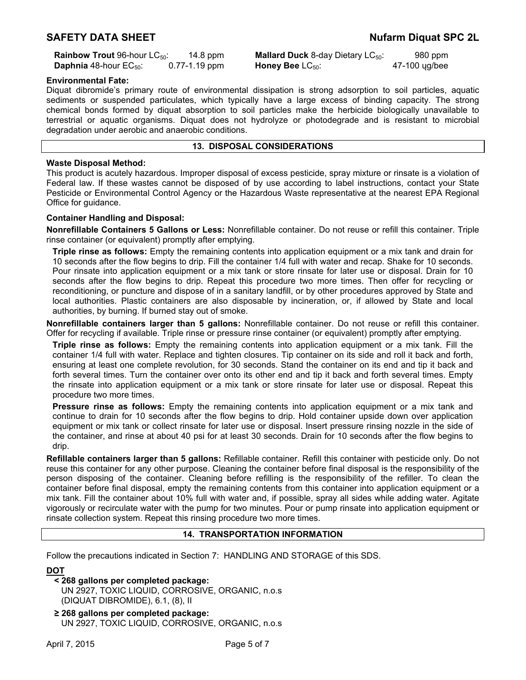**Daphnia** 48-hour EC<sub>50</sub>: 0.77-1.19 ppm **Honey Bee** LC<sub>50</sub>:

**Rainbow Trout** 96-hour LC<sub>50</sub>: 14.8 ppm **Mallard Duck** 8-day Dietary LC<sub>50</sub>: 980 ppm<br>**Daphnia** 48-hour EC<sub>50</sub>: 0.77-1.19 ppm **Honey Bee** LC<sub>50</sub>: 47-100 ug/bee

#### **Environmental Fate:**

Diquat dibromide's primary route of environmental dissipation is strong adsorption to soil particles, aquatic sediments or suspended particulates, which typically have a large excess of binding capacity. The strong chemical bonds formed by diquat absorption to soil particles make the herbicide biologically unavailable to terrestrial or aquatic organisms. Diquat does not hydrolyze or photodegrade and is resistant to microbial degradation under aerobic and anaerobic conditions.

### **13. DISPOSAL CONSIDERATIONS**

#### **Waste Disposal Method:**

This product is acutely hazardous. Improper disposal of excess pesticide, spray mixture or rinsate is a violation of Federal law. If these wastes cannot be disposed of by use according to label instructions, contact your State Pesticide or Environmental Control Agency or the Hazardous Waste representative at the nearest EPA Regional Office for guidance.

#### **Container Handling and Disposal:**

**Nonrefillable Containers 5 Gallons or Less:** Nonrefillable container. Do not reuse or refill this container. Triple rinse container (or equivalent) promptly after emptying.

**Triple rinse as follows:** Empty the remaining contents into application equipment or a mix tank and drain for 10 seconds after the flow begins to drip. Fill the container 1/4 full with water and recap. Shake for 10 seconds. Pour rinsate into application equipment or a mix tank or store rinsate for later use or disposal. Drain for 10 seconds after the flow begins to drip. Repeat this procedure two more times. Then offer for recycling or reconditioning, or puncture and dispose of in a sanitary landfill, or by other procedures approved by State and local authorities. Plastic containers are also disposable by incineration, or, if allowed by State and local authorities, by burning. If burned stay out of smoke.

**Nonrefillable containers larger than 5 gallons:** Nonrefillable container. Do not reuse or refill this container. Offer for recycling if available. Triple rinse or pressure rinse container (or equivalent) promptly after emptying.

**Triple rinse as follows:** Empty the remaining contents into application equipment or a mix tank. Fill the container 1/4 full with water. Replace and tighten closures. Tip container on its side and roll it back and forth, ensuring at least one complete revolution, for 30 seconds. Stand the container on its end and tip it back and forth several times. Turn the container over onto its other end and tip it back and forth several times. Empty the rinsate into application equipment or a mix tank or store rinsate for later use or disposal. Repeat this procedure two more times.

**Pressure rinse as follows:** Empty the remaining contents into application equipment or a mix tank and continue to drain for 10 seconds after the flow begins to drip. Hold container upside down over application equipment or mix tank or collect rinsate for later use or disposal. Insert pressure rinsing nozzle in the side of the container, and rinse at about 40 psi for at least 30 seconds. Drain for 10 seconds after the flow begins to drip.

**Refillable containers larger than 5 gallons:** Refillable container. Refill this container with pesticide only. Do not reuse this container for any other purpose. Cleaning the container before final disposal is the responsibility of the person disposing of the container. Cleaning before refilling is the responsibility of the refiller. To clean the container before final disposal, empty the remaining contents from this container into application equipment or a mix tank. Fill the container about 10% full with water and, if possible, spray all sides while adding water. Agitate vigorously or recirculate water with the pump for two minutes. Pour or pump rinsate into application equipment or rinsate collection system. Repeat this rinsing procedure two more times.

#### **14. TRANSPORTATION INFORMATION**

Follow the precautions indicated in Section 7: HANDLING AND STORAGE of this SDS.

# **DOT**

# **< 268 gallons per completed package:**

 UN 2927, TOXIC LIQUID, CORROSIVE, ORGANIC, n.o.s (DIQUAT DIBROMIDE), 6.1, (8), II

**≥ 268 gallons per completed package:**  UN 2927, TOXIC LIQUID, CORROSIVE, ORGANIC, n.o.s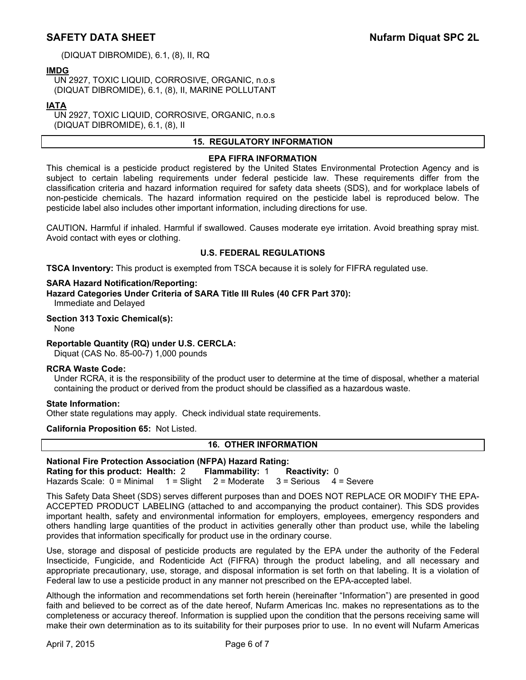(DIQUAT DIBROMIDE), 6.1, (8), II, RQ

# **IMDG**

UN 2927, TOXIC LIQUID, CORROSIVE, ORGANIC, n.o.s (DIQUAT DIBROMIDE), 6.1, (8), II, MARINE POLLUTANT

# **IATA**

UN 2927, TOXIC LIQUID, CORROSIVE, ORGANIC, n.o.s (DIQUAT DIBROMIDE), 6.1, (8), II

# **15. REGULATORY INFORMATION**

# **EPA FIFRA INFORMATION**

This chemical is a pesticide product registered by the United States Environmental Protection Agency and is subject to certain labeling requirements under federal pesticide law. These requirements differ from the classification criteria and hazard information required for safety data sheets (SDS), and for workplace labels of non-pesticide chemicals. The hazard information required on the pesticide label is reproduced below. The pesticide label also includes other important information, including directions for use.

CAUTION**.** Harmful if inhaled. Harmful if swallowed. Causes moderate eye irritation. Avoid breathing spray mist. Avoid contact with eyes or clothing.

# **U.S. FEDERAL REGULATIONS**

**TSCA Inventory:** This product is exempted from TSCA because it is solely for FIFRA regulated use.

#### **SARA Hazard Notification/Reporting:**

**Hazard Categories Under Criteria of SARA Title III Rules (40 CFR Part 370):**

Immediate and Delayed

### **Section 313 Toxic Chemical(s):**

None

#### **Reportable Quantity (RQ) under U.S. CERCLA:**

Diquat (CAS No. 85-00-7) 1,000 pounds

#### **RCRA Waste Code:**

Under RCRA, it is the responsibility of the product user to determine at the time of disposal, whether a material containing the product or derived from the product should be classified as a hazardous waste.

#### **State Information:**

Other state regulations may apply. Check individual state requirements.

#### **California Proposition 65:** Not Listed.

# **16. OTHER INFORMATION**

#### **National Fire Protection Association (NFPA) Hazard Rating: Rating for this product: Health:** 2 **Flammability:** 1 **Reactivity:** 0

Hazards Scale: 0 = Minimal 1 = Slight 2 = Moderate 3 = Serious 4 = Severe

This Safety Data Sheet (SDS) serves different purposes than and DOES NOT REPLACE OR MODIFY THE EPA-ACCEPTED PRODUCT LABELING (attached to and accompanying the product container). This SDS provides important health, safety and environmental information for employers, employees, emergency responders and others handling large quantities of the product in activities generally other than product use, while the labeling provides that information specifically for product use in the ordinary course.

Use, storage and disposal of pesticide products are regulated by the EPA under the authority of the Federal Insecticide, Fungicide, and Rodenticide Act (FIFRA) through the product labeling, and all necessary and appropriate precautionary, use, storage, and disposal information is set forth on that labeling. It is a violation of Federal law to use a pesticide product in any manner not prescribed on the EPA-accepted label.

Although the information and recommendations set forth herein (hereinafter "Information") are presented in good faith and believed to be correct as of the date hereof, Nufarm Americas Inc. makes no representations as to the completeness or accuracy thereof. Information is supplied upon the condition that the persons receiving same will make their own determination as to its suitability for their purposes prior to use. In no event will Nufarm Americas